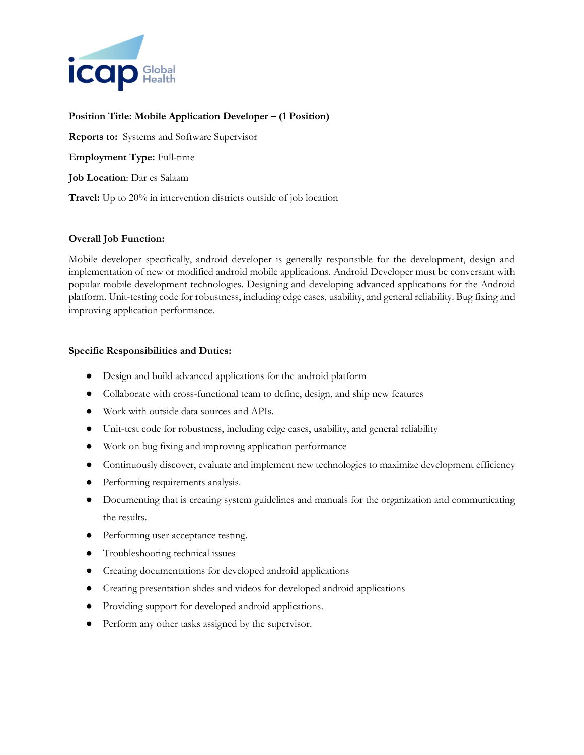

## **Position Title: Mobile Application Developer – (1 Position)**

**Reports to:** Systems and Software Supervisor **Employment Type:** Full-time **Job Location**: Dar es Salaam **Travel:** Up to 20% in intervention districts outside of job location

## **Overall Job Function:**

Mobile developer specifically, android developer is generally responsible for the development, design and implementation of new or modified android mobile applications. Android Developer must be conversant with popular mobile development technologies. Designing and developing advanced applications for the Android platform. Unit-testing code for robustness, including edge cases, usability, and general reliability. Bug fixing and improving application performance.

## **Specific Responsibilities and Duties:**

- Design and build advanced applications for the android platform
- Collaborate with cross-functional team to define, design, and ship new features
- Work with outside data sources and APIs.
- Unit-test code for robustness, including edge cases, usability, and general reliability
- Work on bug fixing and improving application performance
- Continuously discover, evaluate and implement new technologies to maximize development efficiency
- Performing requirements analysis.
- Documenting that is creating system guidelines and manuals for the organization and communicating the results.
- Performing user acceptance testing.
- Troubleshooting technical issues
- Creating documentations for developed android applications
- Creating presentation slides and videos for developed android applications
- Providing support for developed android applications.
- Perform any other tasks assigned by the supervisor.